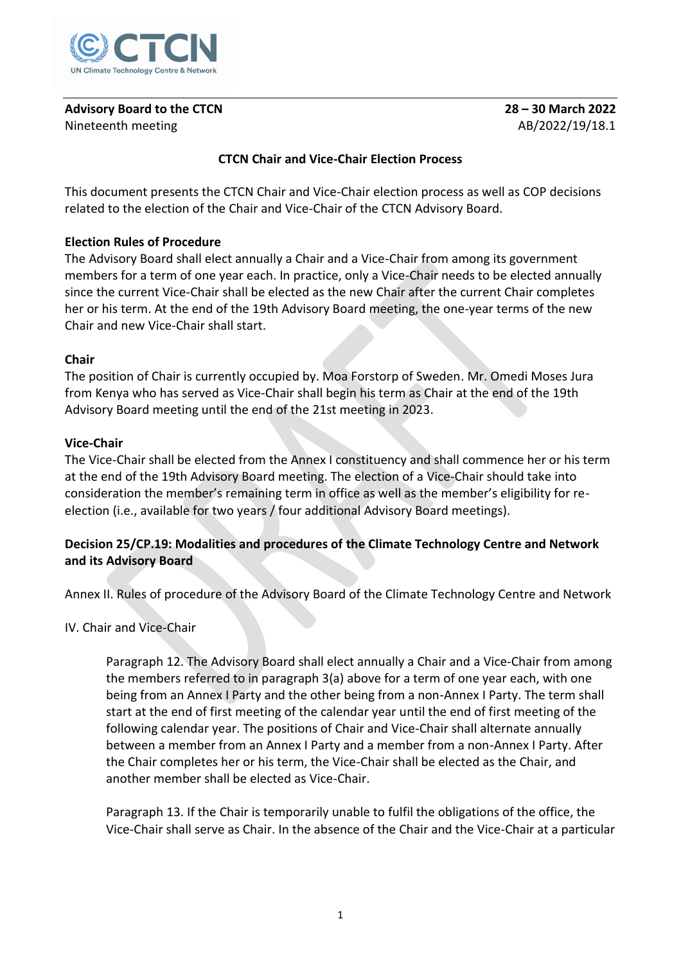

# **Advisory Board to the CTCN 28 – 30 March 2022** Nineteenth meeting and a state of the AB/2022/19/18.1

## **CTCN Chair and Vice-Chair Election Process**

This document presents the CTCN Chair and Vice-Chair election process as well as COP decisions related to the election of the Chair and Vice-Chair of the CTCN Advisory Board.

### **Election Rules of Procedure**

The Advisory Board shall elect annually a Chair and a Vice-Chair from among its government members for a term of one year each. In practice, only a Vice-Chair needs to be elected annually since the current Vice-Chair shall be elected as the new Chair after the current Chair completes her or his term. At the end of the 19th Advisory Board meeting, the one-year terms of the new Chair and new Vice-Chair shall start.

### **Chair**

The position of Chair is currently occupied by. Moa Forstorp of Sweden. Mr. Omedi Moses Jura from Kenya who has served as Vice-Chair shall begin his term as Chair at the end of the 19th Advisory Board meeting until the end of the 21st meeting in 2023.

### **Vice-Chair**

The Vice-Chair shall be elected from the Annex I constituency and shall commence her or his term at the end of the 19th Advisory Board meeting. The election of a Vice-Chair should take into consideration the member's remaining term in office as well as the member's eligibility for reelection (i.e., available for two years / four additional Advisory Board meetings).

### **Decision 25/CP.19: Modalities and procedures of the Climate Technology Centre and Network and its Advisory Board**

Annex II. Rules of procedure of the Advisory Board of the Climate Technology Centre and Network

#### IV. Chair and Vice-Chair

Paragraph 12. The Advisory Board shall elect annually a Chair and a Vice-Chair from among the members referred to in paragraph 3(a) above for a term of one year each, with one being from an Annex I Party and the other being from a non-Annex I Party. The term shall start at the end of first meeting of the calendar year until the end of first meeting of the following calendar year. The positions of Chair and Vice-Chair shall alternate annually between a member from an Annex I Party and a member from a non-Annex I Party. After the Chair completes her or his term, the Vice-Chair shall be elected as the Chair, and another member shall be elected as Vice-Chair.

Paragraph 13. If the Chair is temporarily unable to fulfil the obligations of the office, the Vice-Chair shall serve as Chair. In the absence of the Chair and the Vice-Chair at a particular